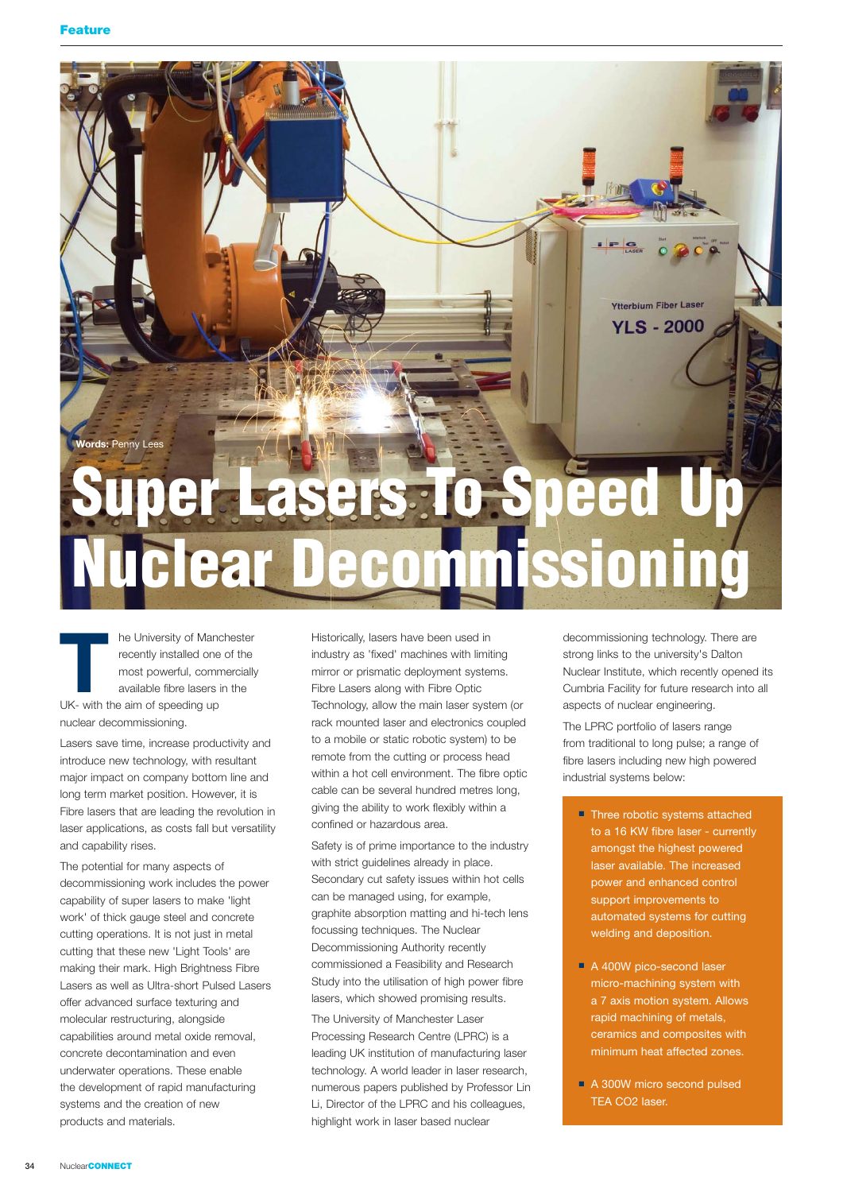

**THE UNIVERSITY OF Manchester**<br> **THE TEND INTERENT CONFIDENTI**<br>
THE MOST CONFIDENTIAL AND AND AND AND AND AND AND AND AND A UK- with the aim of speeding up recently installed one of the most powerful, commercially available fibre lasers in the nuclear decommissioning.

Lasers save time, increase productivity and introduce new technology, with resultant major impact on company bottom line and long term market position. However, it is Fibre lasers that are leading the revolution in laser applications, as costs fall but versatility and capability rises.

The potential for many aspects of decommissioning work includes the power capability of super lasers to make 'light work' of thick gauge steel and concrete cutting operations. It is not just in metal cutting that these new 'Light Tools' are making their mark. High Brightness Fibre Lasers as well as Ultra-short Pulsed Lasers offer advanced surface texturing and molecular restructuring, alongside capabilities around metal oxide removal, concrete decontamination and even underwater operations. These enable the development of rapid manufacturing systems and the creation of new products and materials.

Historically, lasers have been used in industry as 'fixed' machines with limiting mirror or prismatic deployment systems. Fibre Lasers along with Fibre Optic Technology, allow the main laser system (or rack mounted laser and electronics coupled to a mobile or static robotic system) to be remote from the cutting or process head within a hot cell environment. The fibre optic cable can be several hundred metres long, giving the ability to work flexibly within a confined or hazardous area.

Safety is of prime importance to the industry with strict quidelines already in place. Secondary cut safety issues within hot cells can be managed using, for example, graphite absorption matting and hi-tech lens focussing techniques. The Nuclear Decommissioning Authority recently commissioned a Feasibility and Research Study into the utilisation of high power fibre lasers, which showed promising results.

The University of Manchester Laser Processing Research Centre (LPRC) is a leading UK institution of manufacturing laser technology. A world leader in laser research, numerous papers published by Professor Lin Li, Director of the LPRC and his colleagues, highlight work in laser based nuclear

decommissioning technology. There are strong links to the university's Dalton Nuclear Institute, which recently opened its Cumbria Facility for future research into all aspects of nuclear engineering.

The LPRC portfolio of lasers range from traditional to long pulse; a range of fibre lasers including new high powered industrial systems below:

- Three robotic systems attached to a 16 KW fibre laser - currently amongst the highest powered laser available. The increased power and enhanced control support improvements to automated systems for cutting welding and deposition.
- A 400W pico-second laser micro-machining system with a 7 axis motion system. Allows rapid machining of metals, ceramics and composites with minimum heat affected zones.
- A 300W micro second pulsed TEA CO2 laser.